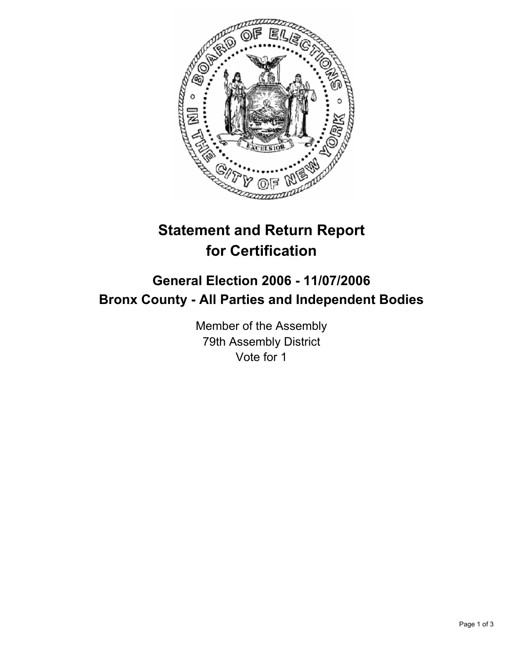

## **Statement and Return Report for Certification**

## **General Election 2006 - 11/07/2006 Bronx County - All Parties and Independent Bodies**

Member of the Assembly 79th Assembly District Vote for 1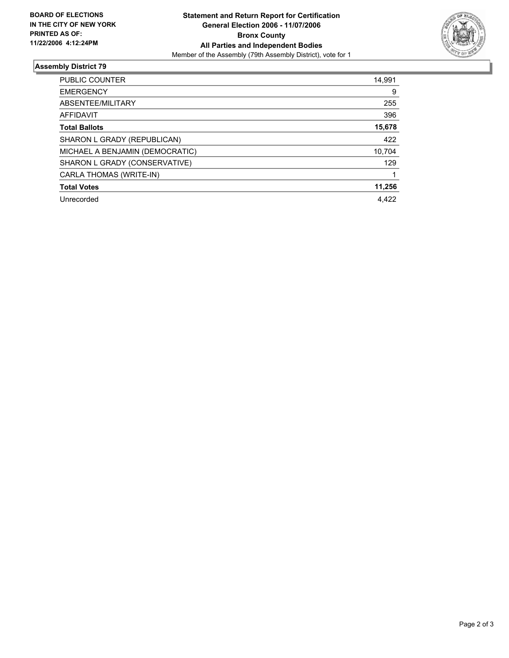

## **Assembly District 79**

| <b>PUBLIC COUNTER</b>           | 14,991 |
|---------------------------------|--------|
| <b>EMERGENCY</b>                | 9      |
| ABSENTEE/MILITARY               | 255    |
| AFFIDAVIT                       | 396    |
| <b>Total Ballots</b>            | 15,678 |
| SHARON L GRADY (REPUBLICAN)     | 422    |
| MICHAEL A BENJAMIN (DEMOCRATIC) | 10,704 |
| SHARON L GRADY (CONSERVATIVE)   | 129    |
| CARLA THOMAS (WRITE-IN)         |        |
| <b>Total Votes</b>              | 11,256 |
| Unrecorded                      | 4.422  |